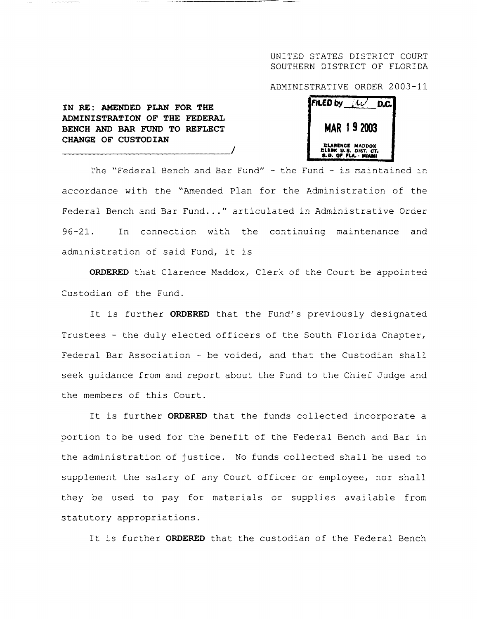## UNITED STATES DISTRICT COURT SOUTHERN DISTRICT OF FLORIDA

ADMINISTRATIVE ORDER 2003-1 <sup>1</sup>

| <b>EILED by</b>                                                               |  |
|-------------------------------------------------------------------------------|--|
| MAR 19 2003                                                                   |  |
| <b>CLARENCE MADDOX</b><br>DLERK U.S. DIST. CT.<br><b>8.D. OF FLA. - MIAMI</b> |  |

**IN RE** : **AMENDED PLAN FOR THE ADMINISTRATION OF THE FEDERAL BENCH AND BAR FUND TO REFLECT CHANGE OF CUSTODIAN**

The "Federal Bench and Bar Fund" - the Fund - is maintained in accordance with the "Amended Plan for the Administration of the Federal Bench and Bar Fund..." articulated in Administrative Order 96-21 . In connection with the continuing maintenance and administration of said Fund, it is

**ORDERED** that Clarence Maddox, Clerk of the Court be appointed Custodian of the Fund.

It is further **ORDERED** that the Fund's previously designated Trustees - the duly elected officers of the South Florida Chapter, Federal Bar Association - be voided, and that the Custodian shall seek guidance from and report about the Fund to the Chief Judge and the members of this Court.

It is further **ORDERED** that the funds collected incorporate a portion to be used for the benefit of the Federal Bench and Bar in the administration of justice . No funds collected shall be used to supplement the salary of any Court officer or employee, nor shall they be used to pay for materials or supplies available from statutory appropriations .

It is further **ORDERED** that the custodian of the Federal Bench